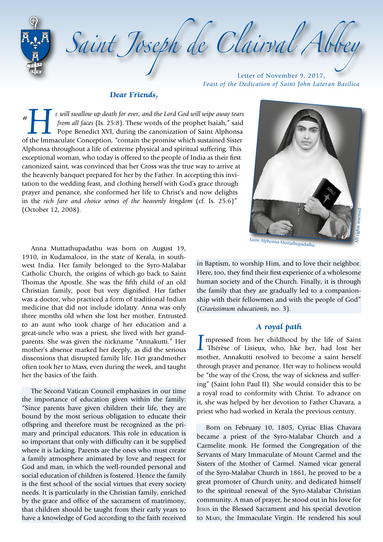Saint Joseph de Clairval Abb

Letter of November 9, 2017, *Feast of the Dedication of Saint John Lateran Basilica*

#### **Dear Friends,**

 $\mathbf{u}$ *F will swallow up death for ever, and the Lord God will wipe away tears from all faces (Is. 25:8). These words of the prophet Isaiah," said Pope Benedict XVI, during the canonization of Saint Alphonsa of the Immaculate from all faces* (Is. 25:8). These words of the prophet Isaiah," said  $\Box$  Pope Benedict XVI, during the canonization of Saint Alphonsa Alphonsa throughout a life of extreme physical and spiritual suffering. This exceptional woman, who today is offered to the people of India as their first canonized saint, was convinced that her Cross was the true way to arrive at the heavenly banquet prepared for her by the Father. In accepting this invitation to the wedding feast, and clothing herself with God's grace through prayer and penance, she conformed her life to Christ's and now delights in the *rich fare and choice wines of the heavenly kingdom* (cf. Is. 25:6)" (October 12, 2008).



Anna Muttathupadathu was born on August 19, 1910, in Kudamaloor, in the state of Kerala, in southwest India. Her family belonged to the Syro-Malabar Catholic Church, the origins of which go back to Saint Thomas the Apostle. She was the fifth child of an old Christian family, poor but very dignified. Her father was a doctor, who practiced a form of traditional Indian medicine that did not include idolatry. Anna was only three months old when she lost her mother. Entrusted to an aunt who took charge of her education and a great-uncle who was a priest, she lived with her grandparents. She was given the nickname "Annakutti." Her mother's absence marked her deeply, as did the serious dissensions that disrupted family life. Her grandmother often took her to Mass, even during the week, and taught her the basics of the faith.

The Second Vatican Council emphasizes in our time the importance of education given within the family: "Since parents have given children their life, they are bound by the most serious obligation to educate their offspring and therefore must be recognized as the primary and principal educators. This role in education is so important that only with difficulty can it be supplied where it is lacking. Parents are the ones who must create a family atmosphere animated by love and respect for God and man, in which the well-rounded personal and social education of children is fostered. Hence the family is the first school of the social virtues that every society needs. It is particularly in the Christian family, enriched by the grace and office of the sacrament of matrimony, that children should be taught from their early years to have a knowledge of God according to the faith received

in Baptism, to worship Him, and to love their neighbor. Here, too, they find their first experience of a wholesome human society and of the Church. Finally, it is through the family that they are gradually led to a companionship with their fellowmen and with the people of God" (*Gravissimum educationis*, no. 3).

### **A royal path**

I mpressed from her childhood by the life of Saint<br>Thérèse of Lisieux, who, like her, had lost her<br>mother Annalytti resolved to become a seint herelf mother, Annakutti resolved to become a saint herself through prayer and penance. Her way to holiness would be "the way of the Cross, the way of sickness and suffering" (Saint John Paul II). She would consider this to be a royal road to conformity with Christ. To advance on it, she was helped by her devotion to Father Chavara, a priest who had worked in Kerala the previous century.

Born on February 10, 1805, Cyriac Elias Chavara became a priest of the Syro-Malabar Church and a Carmelite monk. He formed the Congregation of the Servants of Mary Immaculate of Mount Carmel and the Sisters of the Mother of Carmel. Named vicar general of the Syro-Malabar Church in 1861, he proved to be a great promoter of Church unity, and dedicated himself to the spiritual renewal of the Syro-Malabar Christian community. A man of prayer, he stood out in his love for JESUS in the Blessed Sacrament and his special devotion to MARY, the Immaculate Virgin. He rendered his soul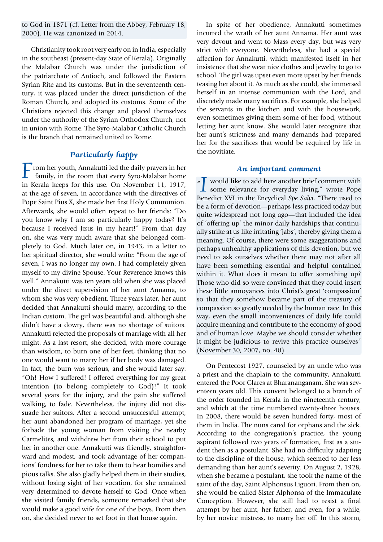to God in 1871 (cf. Letter from the Abbey, February 18, 2000). He was canonized in 2014.

Christianity took root very early on in India, especially in the southeast (present-day State of Kerala). Originally the Malabar Church was under the jurisdiction of the patriarchate of Antioch, and followed the Eastern Syrian Rite and its customs. But in the seventeenth century, it was placed under the direct jurisdiction of the Roman Church, and adopted its customs. Some of the Christians rejected this change and placed themselves under the authority of the Syrian Orthodox Church, not in union with Rome. The Syro-Malabar Catholic Church is the branch that remained united to Rome.

# **Particularly happy**

 $\Gamma$ rom her youth, Annakutti led the daily prayers in her family, in the room that every Syro-Malabar home in Kerala keeps for this use. On November 11, 1917, at the age of seven, in accordance with the directives of Pope Saint Pius X, she made her first Holy Communion. Afterwards, she would often repeat to her friends: "Do you know why I am so particularly happy today? It's because I received JESUS in my heart!" From that day on, she was very much aware that she belonged completely to God. Much later on, in 1943, in a letter to her spiritual director, she would write: "From the age of seven, I was no longer my own. I had completely given myself to my divine Spouse. Your Reverence knows this well." Annakutti was ten years old when she was placed under the direct supervision of her aunt Annama, to whom she was very obedient. Three years later, her aunt decided that Annakutti should marry, according to the Indian custom. The girl was beautiful and, although she didn't have a dowry, there was no shortage of suitors. Annakutti rejected the proposals of marriage with all her might. As a last resort, she decided, with more courage than wisdom, to burn one of her feet, thinking that no one would want to marry her if her body was damaged. In fact, the burn was serious, and she would later say: "Oh! How I suffered! I offered everything for my great intention (to belong completely to God)!" It took several years for the injury, and the pain she suffered walking, to fade. Nevertheless, the injury did not dissuade her suitors. After a second unsuccessful attempt, her aunt abandoned her program of marriage, yet she forbade the young woman from visiting the nearby Carmelites, and withdrew her from their school to put her in another one. Annakutti was friendly, straightforward and modest, and took advantage of her companions' fondness for her to take them to hear homilies and pious talks. She also gladly helped them in their studies, without losing sight of her vocation, for she remained very determined to devote herself to God. Once when she visited family friends, someone remarked that she would make a good wife for one of the boys. From then on, she decided never to set foot in that house again.

In spite of her obedience, Annakutti sometimes incurred the wrath of her aunt Annama. Her aunt was very devout and went to Mass every day, but was very strict with everyone. Nevertheless, she had a special affection for Annakutti, which manifested itself in her insistence that she wear nice clothes and jewelry to go to school. The girl was upset even more upset by her friends teasing her about it. As much as she could, she immersed herself in an intense communion with the Lord, and discretely made many sacrifices. For example, she helped the servants in the kitchen and with the housework, even sometimes giving them some of her food, without letting her aunt know. She would later recognize that her aunt's strictness and many demands had prepared her for the sacrifices that would be required by life in the novitiate.

#### **An important comment**

" $\sum$  would like to add here another brief comment with<br>some relevance for everyday living," wrote Pope<br>Panedist XVI in the Engyslical Sta Sakii "There used to **L** some relevance for everyday living," wrote Pope Benedict XVI in the Encyclical *Spe Salvi*. "There used to be a form of devotion—perhaps less practiced today but quite widespread not long ago—that included the idea of 'offering up' the minor daily hardships that continually strike at us like irritating 'jabs', thereby giving them a meaning. Of course, there were some exaggerations and perhaps unhealthy applications of this devotion, but we need to ask ourselves whether there may not after all have been something essential and helpful contained within it. What does it mean to offer something up? Those who did so were convinced that they could insert these little annoyances into Christ's great 'compassion' so that they somehow became part of the treasury of compassion so greatly needed by the human race. In this way, even the small inconveniences of daily life could acquire meaning and contribute to the economy of good and of human love. Maybe we should consider whether it might be judicious to revive this practice ourselves" (November 30, 2007, no. 40).

On Pentecost 1927, counseled by an uncle who was a priest and the chaplain to the community, Annakutti entered the Poor Clares at Bharananganam. She was seventeen years old. This convent belonged to a branch of the order founded in Kerala in the nineteenth century, and which at the time numbered twenty-three houses. In 2008, there would be seven hundred forty, most of them in India. The nuns cared for orphans and the sick. According to the congregation's practice, the young aspirant followed two years of formation, first as a student then as a postulant. She had no difficulty adapting to the discipline of the house, which seemed to her less demanding than her aunt's severity. On August 2, 1928, when she became a postulant, she took the name of the saint of the day, Saint Alphonsus Liguori. From then on, she would be called Sister Alphonsa of the Immaculate Conception. However, she still had to resist a final attempt by her aunt, her father, and even, for a while, by her novice mistress, to marry her off. In this storm,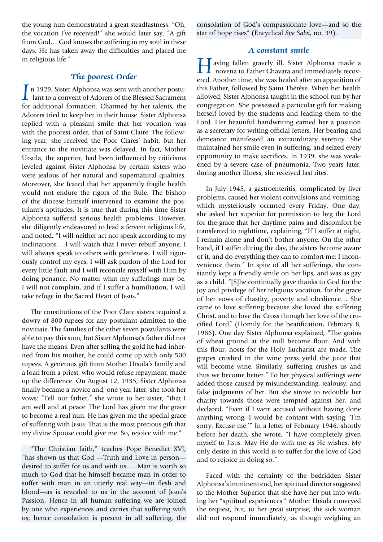the young nun demonstrated a great steadfastness. "Oh, the vocation I've received!" she would later say. "A gift from God… God knows the suffering in my soul in these days. He has taken away the difficulties and placed me in religious life."

## **The poorest Order**

In 1929, Sister Alphonsa was sent with another postulant to a convent of Adorers of the Blessed Sacrament for additional formation. Charmed by her talents, the for additional formation. Charmed by her talents, the Adorers tried to keep her in their house. Sister Alphonsa replied with a pleasant smile that her vocation was with the poorest order, that of Saint Claire. The following year, she received the Poor Clares' habit, but her entrance to the novitiate was delayed. In fact, Mother Ursula, the superior, had been influenced by criticisms leveled against Sister Alphonsa by certain sisters who were jealous of her natural and supernatural qualities. Moreover, she feared that her apparently fragile health would not endure the rigors of the Rule. The bishop of the diocese himself intervened to examine the postulant's aptitudes. It is true that during this time Sister Alphonsa suffered serious health problems. However, she diligently endeavored to lead a fervent religious life, and noted, "I will neither act nor speak according to my inclinations… I will watch that I never rebuff anyone. I will always speak to others with gentleness. I will rigorously control my eyes. I will ask pardon of the Lord for every little fault and I will reconcile myself with Him by doing penance. No matter what my sufferings may be, I will not complain, and if I suffer a humiliation, I will take refuge in the Sacred Heart of JESUS."

The constitutions of the Poor Clare sisters required a dowry of 800 rupees for any postulant admitted to the novitiate. The families of the other seven postulants were able to pay this sum, but Sister Alphonsa's father did not have the means. Even after selling the gold he had inherited from his mother, he could come up with only 500 rupees. A generous gift from Mother Ursula's family and a loan from a priest, who would refuse repayment, made up the difference. On August 12, 1935, Sister Alphonsa finally became a novice and, one year later, she took her vows: "Tell our father," she wrote to her sister, "that I am well and at peace. The Lord has given me the grace to become a real nun. He has given me the special grace of suffering with JESUS. That is the most precious gift that my divine Spouse could give me. So, rejoice with me."

"The Christian faith," teaches Pope Benedict XVI, "has shown us that God —Truth and Love in person desired to suffer for us and with us … Man is worth so much to God that he himself became man in order to suffer with man in an utterly real way—in flesh and blood—as is revealed to us in the account of JESUS's Passion. Hence in all human suffering we are joined by one who experiences and carries that suffering with us; hence consolation is present in all suffering, the consolation of God's compassionate love—and so the star of hope rises" (Encyclical *Spe Salvi*, no. 39).

#### **A constant smile**

**Having fallen gravely ill, Sister Alphonsa made a** novena to Father Chavara and immediately recovered. Another time, she was healed after an apparition of this Father, followed by Saint Thérèse. When her health allowed, Sister Alphonsa taught in the school run by her congregation. She possessed a particular gift for making herself loved by the students and leading them to the Lord. Her beautiful handwriting earned her a position as a secretary for writing official letters. Her bearing and demeanor manifested an extraordinary serenity. She maintained her smile even in suffering, and seized every opportunity to make sacrifices. In 1939, she was weakened by a severe case of pneumonia. Two years later, during another illness, she received last rites.

In July 1945, a gastroenteritis, complicated by liver problems, caused her violent convulsions and vomiting, which mysteriously occurred every Friday. One day, she asked her superior for permission to beg the Lord for the grace that her daytime pains and discomfort be transferred to nighttime, explaining, "If I suffer at night, I remain alone and don't bother anyone. On the other hand, if I suffer during the day, the sisters become aware of it, and do everything they can to comfort me; I inconvenience them." In spite of all her sufferings, she constantly kept a friendly smile on her lips, and was as gay as a child. "[S]he continually gave thanks to God for the joy and privilege of her religious vocation, for the grace of her vows of chastity, poverty and obedience… She came to love suffering because she loved the suffering Christ, and to love the Cross through her love of the crucified Lord" (Homily for the beatification, February 8, 1986). One day Sister Alphonsa explained, "The grains of wheat ground at the mill become flour. And with this flour, hosts for the Holy Eucharist are made. The grapes crushed in the wine press yield the juice that will become wine. Similarly, suffering crushes us and thus we become better." To her physical sufferings were added those caused by misunderstanding, jealousy, and false judgments of her. But she strove to redouble her charity towards those were tempted against her, and declared, "Even if I were accused without having done anything wrong, I would be content with saying: 'I'm sorry. Excuse me.'" In a letter of February 1946, shortly before her death, she wrote, "I have completely given myself to JESUS. May He do with me as He wishes. My only desire in this world is to suffer for the love of God and to rejoice in doing so."

Faced with the certainty of the bedridden Sister Alphonsa's imminent end, her spiritual director suggested to the Mother Superior that she have her put into writing her "spiritual experiences." Mother Ursula conveyed the request, but, to her great surprise, the sick woman did not respond immediately, as though weighing an